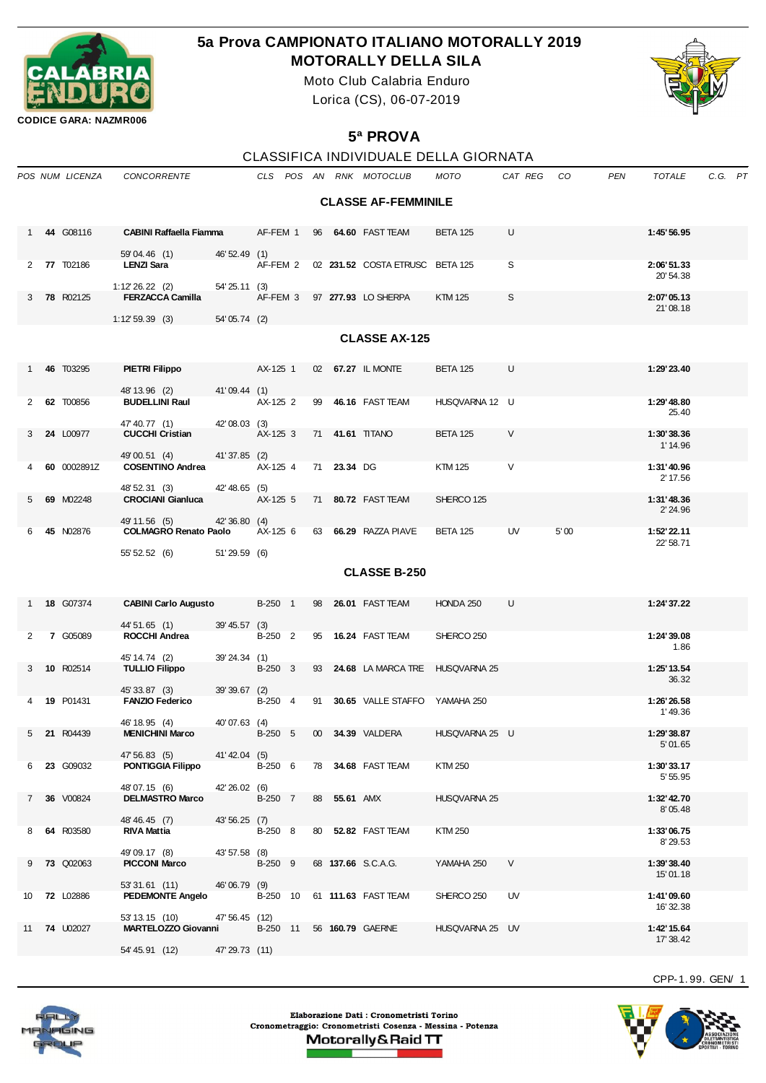

## **5a Prova CAMPIONATO ITALIANO MOTORALLY 2019 MOTORALLY DELLA SILA**

Moto Club Calabria Enduro Lorica (CS), 06-07-2019



**CODICE GARA: NAZMR006**

## **5ª PROVA**

| CLASSIFICA INDIVIDUALE DELLA GIORNATA |  |
|---------------------------------------|--|
|                                       |  |

|             |                            | POS NUM LICENZA                                       | <b>CONCORRENTE</b>                             |                 |          |  |    |              | CLS POS AN RNK MOTOCLUB                  | MOTO            | CAT REG CO |      | PEN | <b>TOTALE</b>            | C.G. PT |  |
|-------------|----------------------------|-------------------------------------------------------|------------------------------------------------|-----------------|----------|--|----|--------------|------------------------------------------|-----------------|------------|------|-----|--------------------------|---------|--|
|             | <b>CLASSE AF-FEMMINILE</b> |                                                       |                                                |                 |          |  |    |              |                                          |                 |            |      |     |                          |         |  |
|             |                            | 44 G08116                                             | <b>CABINI Raffaella Fiamma</b><br>59'04.46 (1) |                 | AF-FEM 1 |  |    |              | 96 64.60 FAST TEAM                       | BETA 125        | U          |      |     | 1:45'56.95               |         |  |
|             |                            | 2 77 T02186                                           | <b>LENZI Sara</b>                              | 46' 52.49 (1)   |          |  |    |              | AF-FEM 2 02 231.52 COSTA ETRUSC BETA 125 |                 | S          |      |     | 2:06'51.33<br>20' 54.38  |         |  |
| 3           |                            | 78 R02125                                             | $1:12'26.22$ (2)<br><b>FERZACCA Camilla</b>    | 54' 25.11 (3)   |          |  |    |              | AF-FEM 3 97 277.93 LO SHERPA             | <b>KTM 125</b>  | S          |      |     | 2:07'05.13<br>21'08.18   |         |  |
|             |                            | 1:12'59.39(3)<br>54'05.74 (2)<br><b>CLASSE AX-125</b> |                                                |                 |          |  |    |              |                                          |                 |            |      |     |                          |         |  |
|             |                            |                                                       |                                                |                 |          |  |    |              |                                          |                 |            |      |     |                          |         |  |
|             |                            | 46 T03295                                             | <b>PIETRI Filippo</b><br>48' 13.96 (2)         | 41'09.44 (1)    | AX-125 1 |  |    |              | 02 67.27 IL MONTE                        | BETA 125        | U          |      |     | 1:29'23.40               |         |  |
| 2           |                            | 62 T00856                                             | <b>BUDELLINI Raul</b>                          |                 | AX-125 2 |  |    |              | 99 46.16 FAST TEAM                       | HUSQVARNA 12 U  |            |      |     | 1:29' 48.80<br>25.40     |         |  |
| 3           |                            | 24 L00977                                             | 47' 40.77 (1)<br><b>CUCCHI Cristian</b>        | 42'08.03 (3)    | AX-125 3 |  |    |              | 71 41.61 TITANO                          | <b>BETA 125</b> | V          |      |     | 1:30'38.36<br>1' 14.96   |         |  |
| 4           |                            | 60 0002891Z                                           | 49'00.51 (4)<br><b>COSENTINO Andrea</b>        | 41'37.85 (2)    | AX-125 4 |  |    | 71 23.34 DG  |                                          | KTM 125         | V          |      |     | 1:31'40.96<br>2' 17.56   |         |  |
| 5           |                            | 69 M02248                                             | 48' 52.31 (3)<br><b>CROCIANI Gianluca</b>      | 42'48.65 (5)    | AX-125 5 |  |    |              | 71 80.72 FAST TEAM                       | SHERCO 125      |            |      |     | 1:31'48.36<br>2' 24.96   |         |  |
| 6           |                            | 45 N02876                                             | 49' 11.56 (5)<br><b>COLMAGRO Renato Paolo</b>  | 42' 36.80 (4)   | AX-125 6 |  |    |              | 63 66.29 RAZZA PIAVE                     | <b>BETA 125</b> | UV         | 5'00 |     | 1:52' 22.11<br>22' 58.71 |         |  |
|             |                            |                                                       | 55' 52.52 (6)                                  | 51'29.59 (6)    |          |  |    |              |                                          |                 |            |      |     |                          |         |  |
|             | <b>CLASSE B-250</b>        |                                                       |                                                |                 |          |  |    |              |                                          |                 |            |      |     |                          |         |  |
|             |                            | 18 G07374                                             | <b>CABINI Carlo Augusto</b><br>44' 51.65 (1)   | $39' 45.57$ (3) | B-250 1  |  | 98 |              | 26.01 FAST TEAM                          | HONDA 250       | U          |      |     | 1:24'37.22               |         |  |
| 2           |                            | 7 G05089                                              | <b>ROCCHI Andrea</b><br>45' 14.74 (2)          | 39'24.34 (1)    | B-250 2  |  |    |              | 95 16.24 FAST TEAM                       | SHERCO 250      |            |      |     | 1:24'39.08<br>1.86       |         |  |
| 3           |                            | 10 R02514                                             | <b>TULLIO Filippo</b><br>45' 33.87 (3)         |                 | B-250 3  |  |    |              | 93 24.68 LA MARCA TRE HUSQVARNA 25       |                 |            |      |     | 1:25' 13.54<br>36.32     |         |  |
|             |                            | 19 P01431                                             | <b>FANZIO Federico</b>                         | 39'39.67 (2)    | B-250 4  |  |    |              | 91 30.65 VALLE STAFFO YAMAHA 250         |                 |            |      |     | 1:26'26.58<br>1'49.36    |         |  |
| 5           |                            | 21 R04439                                             | 46' 18.95 (4)<br><b>MENICHINI Marco</b>        | 40'07.63 (4)    | B-250 5  |  |    |              | 00 34.39 VALDERA                         | HUSQVARNA 25 U  |            |      |     | 1:29'38.87<br>5'01.65    |         |  |
| 6           |                            | <b>23 G09032</b>                                      | 47' 56.83 (5)<br><b>PONTIGGIA Filippo</b>      | 41'42.04 (5)    | B-250 6  |  |    |              | 78 34.68 FAST TEAM                       | KTM 250         |            |      |     | 1:30'33.17<br>5' 55.95   |         |  |
| $7^{\circ}$ |                            | 36 V00824                                             | 48'07.15 (6)<br><b>DELMASTRO Marco</b>         | 42' 26.02 (6)   | B-250 7  |  |    | 88 55.61 AMX |                                          | HUSQVARNA 25    |            |      |     | 1:32' 42.70<br>8'05.48   |         |  |
| 8           |                            | 64 R03580                                             | 48' 46.45 (7)<br><b>RIVA Mattia</b>            | 43' 56.25 (7)   | B-250 8  |  |    |              | 80 52.82 FAST TEAM                       | KTM 250         |            |      |     | 1:33'06.75<br>8'29.53    |         |  |
| 9           |                            | <b>73 Q02063</b>                                      | 49'09.17 (8)<br><b>PICCONI Marco</b>           | 43' 57.58 (8)   | B-250 9  |  |    |              | 68 137.66 S.C.A.G.                       | YAMAHA 250      | V          |      |     | 1:39'38.40<br>15'01.18   |         |  |
| 10          |                            | <b>72 L02886</b>                                      | 53'31.61 (11)<br><b>PEDEMONTE Angelo</b>       | 46'06.79 (9)    | B-250 10 |  |    |              | 61 111.63 FAST TEAM                      | SHERCO 250      | UV         |      |     | 1:41'09.60<br>16' 32.38  |         |  |
| 11          |                            | 74 U02027                                             | 53' 13.15 (10)<br><b>MARTELOZZO Giovanni</b>   | 47' 56.45 (12)  | B-250 11 |  |    |              | 56 160.79 GAERNE                         | HUSQVARNA 25 UV |            |      |     | 1:42' 15.64<br>17' 38.42 |         |  |
|             |                            |                                                       | 54' 45.91 (12)                                 | 47'29.73 (11)   |          |  |    |              |                                          |                 |            |      |     |                          |         |  |

Elaborazione Dati : Cronometristi Torino Cronometraggio: Cronometristi Cosenza - Messina - Potenza Motorally&Raid TT

CPP-1. 99. GEN/ 1



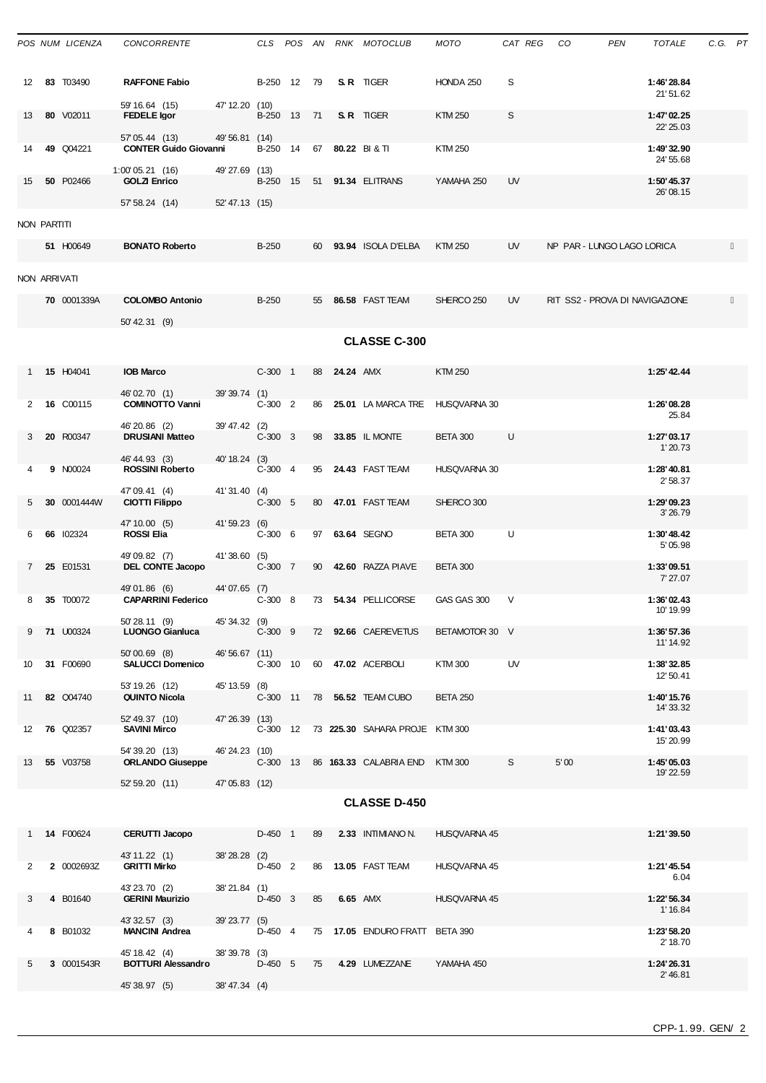|              | POS NUM LICENZA    | <b>CONCORRENTE</b>                                     |                                  |              |    |           | CLS POS AN RNK MOTOCLUB                 | мото            | CAT REG CO |                                | PEN | TOTALE                   | C.G. PT |  |
|--------------|--------------------|--------------------------------------------------------|----------------------------------|--------------|----|-----------|-----------------------------------------|-----------------|------------|--------------------------------|-----|--------------------------|---------|--|
| 12           | 83 T03490          | <b>RAFFONE Fabio</b>                                   |                                  | B-250 12 79  |    |           | S.R. TIGER                              | HONDA 250       | S          |                                |     | 1:46'28.84<br>21'51.62   |         |  |
| 13           | 80 V02011          | 59' 16.64 (15)<br><b>FEDELE</b> Igor<br>57' 05.44 (13) | 47' 12.20 (10)<br>49' 56.81 (14) | B-250 13 71  |    |           | S.R TIGER                               | <b>KTM 250</b>  | S          |                                |     | 1:47'02.25<br>22' 25.03  |         |  |
| 14           | 49 Q04221          | <b>CONTER Guido Giovanni</b>                           |                                  |              |    |           | B-250 14 67 80.22 BI&TI                 | <b>KTM 250</b>  |            |                                |     | 1:49'32.90<br>24' 55.68  |         |  |
| 15           | 50 P02466          | 1:00'05.21(16)<br><b>GOLZI Enrico</b>                  | 49'27.69 (13)                    |              |    |           | B-250 15 51 91.34 ELITRANS              | YAMAHA 250      | UV         |                                |     | 1:50' 45.37<br>26'08.15  |         |  |
|              |                    | 57' 58.24 (14)                                         | 52'47.13 (15)                    |              |    |           |                                         |                 |            |                                |     |                          |         |  |
| NON PARTITI  | 51 H00649          | <b>BONATO Roberto</b>                                  |                                  | <b>B-250</b> |    |           | 60 93.94 ISOLA D'ELBA                   | <b>KTM 250</b>  | <b>UV</b>  | NP PAR - LUNGO LAGO LORICA     |     |                          |         |  |
|              |                    |                                                        |                                  |              |    |           |                                         |                 |            |                                |     |                          |         |  |
| NON ARRIVATI | 70 0001339A        | <b>COLOMBO Antonio</b>                                 |                                  | <b>B-250</b> |    |           | 55 86.58 FAST TEAM                      | SHERCO 250      | UV.        | RIT SS2 - PROVA DI NAVIGAZIONE |     |                          |         |  |
|              |                    | 50' 42.31 (9)                                          |                                  |              |    |           |                                         |                 |            |                                |     |                          |         |  |
|              |                    |                                                        |                                  |              |    |           | <b>CLASSE C-300</b>                     |                 |            |                                |     |                          |         |  |
|              | 15 H04041          | <b>IOB Marco</b>                                       |                                  | $C-300$ 1    | 88 | 24.24 AMX |                                         | <b>KTM 250</b>  |            |                                |     | 1:25' 42.44              |         |  |
| 2            | 16 C00115          | 46'02.70 (1)<br><b>COMINOTTO Vanni</b>                 | 39'39.74 (1)                     | $C-300$ 2    |    |           | 86 25.01 LA MARCA TRE                   | HUSOVARNA 30    |            |                                |     | 1:26'08.28               |         |  |
|              |                    | 46'20.86 (2)                                           | 39'47.42 (2)                     |              |    |           |                                         |                 |            |                                |     | 25.84                    |         |  |
| 3            | 20 R00347          | <b>DRUSIANI Matteo</b><br>46' 44.93 (3)                | 40' 18.24 (3)                    | $C-300$ 3    |    |           | 98 33.85 IL MONTE                       | <b>BETA 300</b> | U          |                                |     | 1:27'03.17<br>1'20.73    |         |  |
| 4            | 9 N00024           | <b>ROSSINI Roberto</b>                                 |                                  | $C-300$ 4    |    |           | 95 24.43 FAST TEAM                      | HUSQVARNA 30    |            |                                |     | 1:28'40.81<br>2' 58.37   |         |  |
| 5            | 30 0001444W        | 47'09.41 (4)<br><b>CIOTTI Filippo</b>                  | 41'31.40 (4)                     | $C-300$ 5    |    |           | 80 47.01 FAST TEAM                      | SHERCO 300      |            |                                |     | 1:29'09.23<br>3'26.79    |         |  |
| 6            | 66 102324          | 47' 10.00 (5)<br><b>ROSSI Elia</b>                     | 41'59.23 (6)                     | $C-300$ 6    |    |           | 97 63.64 SEGNO                          | <b>BETA 300</b> | U          |                                |     | 1:30'48.42<br>5'05.98    |         |  |
| $\mathbf{7}$ | 25 E01531          | 49'09.82 (7)<br>DEL CONTE Jacopo                       | 41'38.60 (5)                     | C-300 7      |    |           | 90 42.60 RAZZA PIAVE                    | BETA 300        |            |                                |     | 1:33'09.51               |         |  |
| 8            |                    | 49'01.86 (6)<br><b>CAPARRINI Federico</b>              | 44'07.65 (7)                     |              |    |           | 73 54.34 PELLICORSE                     | GAS GAS 300     | V          |                                |     | 7' 27.07<br>1:36'02.43   |         |  |
|              | <b>35 T00072</b>   | 50' 28.11 (9)                                          | 45' 34.32 (9)                    | $C-300$ 8    |    |           |                                         |                 |            |                                |     | 10' 19.99                |         |  |
|              | 9 71 U00324        | <b>LUONGO Gianluca</b><br>50'00.69 (8)                 | 46' 56.67 (11)                   |              |    |           | C-300 9 72 92.66 CAEREVETUS             | BETAMOTOR 30 V  |            |                                |     | 1:36'57.36<br>11' 14.92  |         |  |
| 10           | 31 F00690          | <b>SALUCCI Domenico</b>                                |                                  |              |    |           | C-300 10 60 47.02 ACERBOLI              | KTM 300         | UV         |                                |     | 1:38'32.85<br>12' 50.41  |         |  |
| 11           | 82 Q04740          | 53' 19.26 (12)<br><b>QUINTO Nicola</b>                 | 45' 13.59 (8)                    |              |    |           | C-300 11 78 56.52 TEAM CUBO             | <b>BETA 250</b> |            |                                |     | 1:40' 15.76<br>14' 33.32 |         |  |
|              | 12 76 Q02357       | 52' 49.37 (10)<br><b>SAVINI Mirco</b>                  | 47'26.39 (13)                    |              |    |           | C-300 12 73 225.30 SAHARA PROJE KTM 300 |                 |            |                                |     | 1:41'03.43               |         |  |
|              | 55 V03758          | 54' 39.20 (13)<br><b>ORLANDO Giuseppe</b>              | 46'24.23 (10)                    |              |    |           | C-300 13 86 163.33 CALABRIA END KTM 300 |                 | S          | 5'00                           |     | 15' 20.99<br>1:45'05.03  |         |  |
| 13           |                    | 52' 59.20 (11)                                         | 47'05.83 (12)                    |              |    |           |                                         |                 |            |                                |     | 19' 22.59                |         |  |
|              |                    |                                                        |                                  |              |    |           | <b>CLASSE D-450</b>                     |                 |            |                                |     |                          |         |  |
|              | 1 <b>14 F00624</b> | <b>CERUTTI Jacopo</b>                                  |                                  | D-450 1      | 89 |           | 2.33 INTIMIANO N.                       | HUSQVARNA 45    |            |                                |     | 1:21'39.50               |         |  |
| 2            | 2 0002693Z         | 43' 11.22 (1)<br><b>GRITTI Mirko</b>                   | 38'28.28 (2)                     | D-450 2      |    |           | 86 13.05 FAST TEAM                      | HUSQVARNA 45    |            |                                |     | 1:21'45.54               |         |  |
|              |                    | 43'23.70 (2)                                           | 38'21.84 (1)                     |              |    |           |                                         |                 |            |                                |     | 6.04                     |         |  |
| 3            | 4 B01640           | <b>GERINI Maurizio</b><br>43' 32.57 (3)                | 39'23.77 (5)                     | D-450 3      | 85 |           | <b>6.65 AMX</b>                         | HUSQVARNA 45    |            |                                |     | 1:22' 56.34<br>1' 16.84  |         |  |
| 4            | 8 B01032           | <b>MANCINI Andrea</b>                                  |                                  | D-450 4      |    |           | 75 17.05 ENDURO FRATT BETA 390          |                 |            |                                |     | 1:23'58.20<br>2' 18.70   |         |  |
| 5            | 3 0001543R         | 45' 18.42 (4)<br><b>BOTTURI Alessandro</b>             | 38'39.78 (3)                     | D-450 5      |    |           | 75   4.29    LUMEZZANE                  | YAMAHA 450      |            |                                |     | 1:24'26.31<br>2' 46.81   |         |  |
|              |                    | 45' 38.97 (5)                                          | 38'47.34 (4)                     |              |    |           |                                         |                 |            |                                |     |                          |         |  |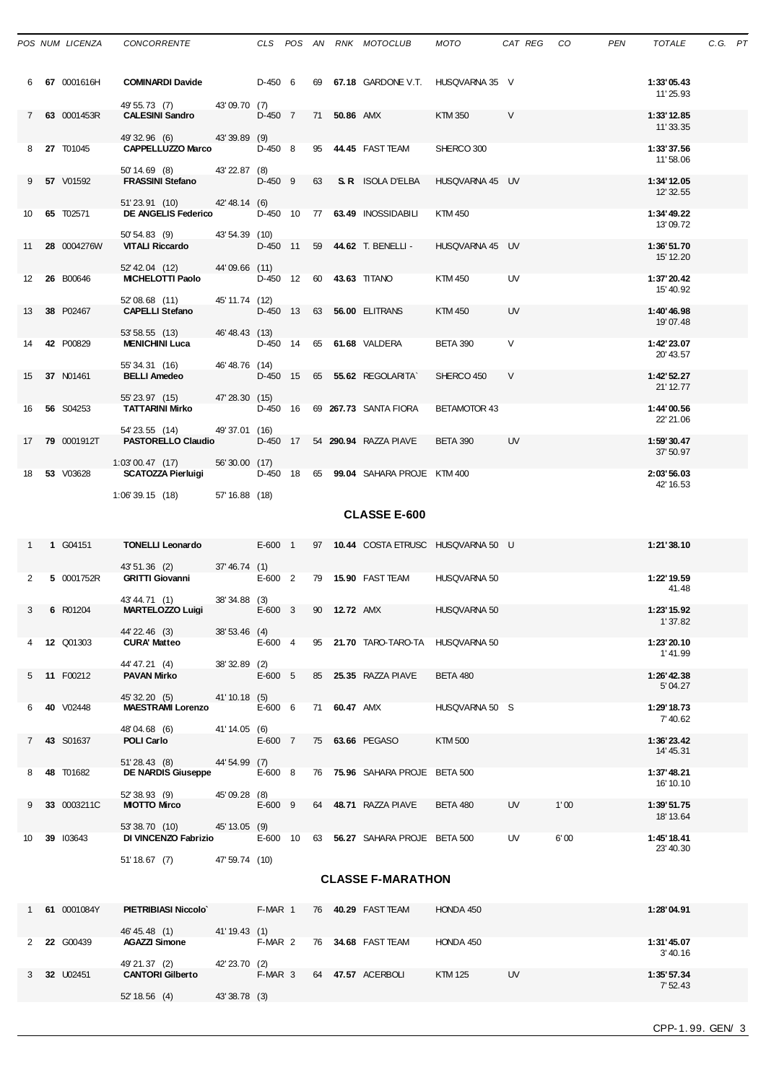|    |                | POS NUM LICENZA CONCORRENTE THE CLS POS AN RNK MOTOCLUB                                                                |                |  |  |                                                | MOTO CAT REG CO PEN |           |  | TOTALE                  | C.G. PT |  |
|----|----------------|------------------------------------------------------------------------------------------------------------------------|----------------|--|--|------------------------------------------------|---------------------|-----------|--|-------------------------|---------|--|
|    | 6 67 0001616H  | <b>COMINARDI Davide</b> D-450 6 69 67.18 GARDONE V.T. HUSQVARNA 35 V<br>49' 55.73 (7) 43' 09.70 (7)                    |                |  |  |                                                |                     |           |  | 1:33'05.43<br>11'25.93  |         |  |
|    | 7 63 0001453R  | <b>CALESINI Sandro CALESINI</b>                                                                                        |                |  |  | D-450 7 71 50.86 AMX KTM 350                   |                     | V         |  | 1:33' 12.85             |         |  |
|    |                | 49'32.96 (6) 43'39.89 (9)                                                                                              |                |  |  |                                                |                     |           |  | 11'33.35                |         |  |
|    | 8 27 T01045    | CAPPELLUZZO Marco  D-450 8 95 44.45 FAST TEAM SHERCO 300                                                               |                |  |  |                                                |                     |           |  | 1:33'37.56              |         |  |
|    |                |                                                                                                                        |                |  |  |                                                |                     |           |  | 11'58.06                |         |  |
|    |                |                                                                                                                        |                |  |  |                                                |                     |           |  |                         |         |  |
|    | 9 57 V01592    |                                                                                                                        |                |  |  |                                                |                     |           |  | 1:34'12.05<br>12' 32.55 |         |  |
|    |                | 51'23.91 (10) 42'48.14 (6)                                                                                             |                |  |  |                                                |                     |           |  |                         |         |  |
|    | 10 65 T02571   | DE ANGELIS Federico D-450 10 77 63.49 INOSSIDABILI<br>50' 54.83 (9) 43' 54.39 (10)                                     |                |  |  |                                                | KTM 450             |           |  | 1:34'49.22<br>13'09.72  |         |  |
| 11 | 28 0004276W    | <b>VITALI Riccardo</b>                                                                                                 |                |  |  | D-450 11 59 44.62 T. BENELLI - HUSQVARNA 45 UV |                     |           |  | 1:36' 51.70             |         |  |
|    |                |                                                                                                                        |                |  |  |                                                |                     |           |  | 15' 12.20               |         |  |
|    |                | 52' 42.04 (12) 44' 09.66 (11)                                                                                          |                |  |  |                                                |                     |           |  |                         |         |  |
|    | 12 26 B00646   |                                                                                                                        |                |  |  |                                                | KTM 450             | <b>UV</b> |  | 1:37'20.42<br>15' 40.92 |         |  |
|    |                | 52'08.68 (11) 45'11.74 (12)                                                                                            |                |  |  |                                                |                     |           |  |                         |         |  |
|    | 13 38 P02467   | <b>CAPELLI Stefano</b>                                                                                                 |                |  |  | D-450 13 63 56.00 ELITRANS                     | KTM 450             | <b>UV</b> |  | 1:40'46.98<br>19'07.48  |         |  |
|    | 14 42 P00829   | 53' 58.55 (13) 46' 48.43 (13)<br><b>MENICHINI Luca</b> $D-450$ 14 65 61.68 VALDERA BETA 390                            |                |  |  |                                                |                     | $\vee$    |  | 1:42' 23.07             |         |  |
|    |                |                                                                                                                        |                |  |  |                                                |                     |           |  | 20' 43.57               |         |  |
|    | 15 37 N01461   | 55' 34.31 (16) 46' 48.76 (14)<br>BELLI Amedeo D-45                                                                     |                |  |  | D-450 15 65 55.62 REGOLARITA SHERCO 450        |                     | $\vee$    |  | 1:42' 52.27             |         |  |
|    |                |                                                                                                                        |                |  |  |                                                |                     |           |  | 21' 12.77               |         |  |
|    | 16 56 S04253   | 55' 23.97 (15) 47' 28.30 (15)<br><b>TATTARINI Mirko</b> D-450    16    69 <b>267.73</b> SANTA FIORA       BETAMOTOR 43 |                |  |  |                                                |                     |           |  | 1:44'00.56              |         |  |
|    |                | 54'23.55 (14) 49'37.01 (16)                                                                                            |                |  |  |                                                |                     |           |  | 22' 21.06               |         |  |
|    | 17 79 0001912T | <b>PASTORELLO Claudio</b> $D-450$ 17 54 290.94 RAZZA PIAVE BETA 390 UV                                                 |                |  |  |                                                |                     |           |  | 1:59'30.47              |         |  |
|    |                | 1:03'00.47 (17) 56'30.00 (17)                                                                                          |                |  |  |                                                |                     |           |  | 37'50.97                |         |  |
|    | 18 53 V03628   |                                                                                                                        |                |  |  |                                                |                     |           |  | 2:03'56.03              |         |  |
|    |                | 1:06'39.15 (18)                                                                                                        | 57' 16.88 (18) |  |  |                                                |                     |           |  | 42' 16.53               |         |  |
|    |                |                                                                                                                        |                |  |  |                                                |                     |           |  |                         |         |  |

### **CLASSE E-600**

|                 | 1 G04151         | <b>TONELLI Leonardo</b>   |                | $E-600$ 1 | 97 |              |                                | 10.44 COSTA ETRUSC HUSQVARNA 50 U |           |      | 1:21'38.10               |
|-----------------|------------------|---------------------------|----------------|-----------|----|--------------|--------------------------------|-----------------------------------|-----------|------|--------------------------|
|                 |                  | 43' 51.36 (2)             | 37' 46.74(1)   |           |    |              |                                |                                   |           |      |                          |
| $\mathcal{P}$   | 5 0001752R       | <b>GRITTI Giovanni</b>    |                | $E-600$ 2 |    |              | 79 15.90 FAST TEAM             | <b>HUSQVARNA 50</b>               |           |      | 1:22' 19.59<br>41.48     |
|                 |                  | 43'44.71 (1)              | 38'34.88 (3)   |           |    |              |                                |                                   |           |      |                          |
| 3               | 6 R01204         | <b>MARTELOZZO Luigi</b>   |                | $E-600$ 3 |    | 90 12.72 AMX |                                | <b>HUSQVARNA 50</b>               |           |      | 1:23' 15.92<br>1'37.82   |
|                 |                  | 44' 22.46 (3)             | 38' 53.46 (4)  |           |    |              |                                |                                   |           |      |                          |
|                 | <b>12 Q01303</b> | <b>CURA' Matteo</b>       |                | E-600 4   |    |              | 95 21.70 TARO-TARO-TA          | <b>HUSQVARNA 50</b>               |           |      | 1:23'20.10<br>1'41.99    |
|                 |                  | 44' 47.21 (4)             | 38'32.89 (2)   |           |    |              |                                |                                   |           |      |                          |
|                 | 5 11 F00212      | <b>PAVAN Mirko</b>        |                | $E-600$ 5 |    |              | 85 25.35 RAZZA PIAVE           | <b>BETA 480</b>                   |           |      | 1:26' 42.38<br>5' 04.27  |
|                 |                  | 45' 32.20 (5)             | 41' 10.18 (5)  |           |    |              |                                |                                   |           |      |                          |
| 6               | 40 V02448        | <b>MAESTRAMI Lorenzo</b>  |                | $E-600$ 6 |    | 71 60.47 AMX |                                | HUSQVARNA 50 S                    |           |      | 1:29'18.73<br>7'40.62    |
|                 |                  | 48'04.68 (6)              | 41'14.05 (6)   |           |    |              |                                |                                   |           |      |                          |
| $7^{\circ}$     | <b>43 S01637</b> | POLI Carlo                |                | $E-600$ 7 |    |              | 75 63.66 PEGASO                | <b>KTM500</b>                     |           |      | 1:36'23.42<br>14' 45.31  |
|                 |                  | 51'28.43 (8)              | 44'54.99 (7)   |           |    |              |                                |                                   |           |      |                          |
| 8               | 48 T01682        | <b>DE NARDIS Giuseppe</b> |                | $E-600$ 8 |    |              | 76 75.96 SAHARA PROJE BETA 500 |                                   |           |      | 1:37'48.21<br>16' 10.10  |
|                 |                  | 52' 38.93 (9)             | 45'09.28 (8)   |           |    |              |                                |                                   |           |      |                          |
| 9               | 33 0003211C      | <b>MOTTO Mirco</b>        |                | $E-600$ 9 |    |              | 64 48.71 RAZZA PIAVE           | <b>BETA 480</b>                   | <b>UV</b> | 1'00 | 1:39' 51.75<br>18' 13.64 |
|                 |                  | 53' 38.70 (10)            | 45' 13.05 (9)  |           |    |              |                                |                                   |           |      |                          |
| 10 <sup>1</sup> | 39 103643        | DI VINCENZO Fabrizio      |                | E-600 10  | 63 |              | 56.27 SAHARA PROJE BETA 500    |                                   | <b>UV</b> | 6'00 | 1:45' 18.41<br>23' 40.30 |
|                 |                  | 51'18.67 (7)              | 47' 59.74 (10) |           |    |              |                                |                                   |           |      |                          |

#### **CLASSE F-MARATHON**

|               | -61 | 0001084Y         | PIETRIBIASI Niccolo     |               | F-MAR 1 | 76 | <b>40.29 FAST TEAM</b> | HONDA 450      |    | 1:28'04.91             |
|---------------|-----|------------------|-------------------------|---------------|---------|----|------------------------|----------------|----|------------------------|
|               |     |                  | 46'45.48 (1)            | 41' 19.43 (1) |         |    |                        |                |    |                        |
| $\mathcal{P}$ |     | <b>22 G00439</b> | <b>AGAZZI Simone</b>    |               | F-MAR 2 | 76 | 34.68 FAST TEAM        | HONDA 450      |    | 1:31'45.07<br>3' 40.16 |
|               |     |                  | 49'21.37 (2)            | 42'23.70 (2)  |         |    |                        |                |    |                        |
| 3             |     | 32 U02451        | <b>CANTORI Gilberto</b> |               | F-MAR 3 | 64 | 47.57 ACERBOLI         | <b>KTM 125</b> | UV | 1:35' 57.34<br>7'52.43 |
|               |     |                  | 52' 18.56 (4)           | 43'38.78 (3)  |         |    |                        |                |    |                        |